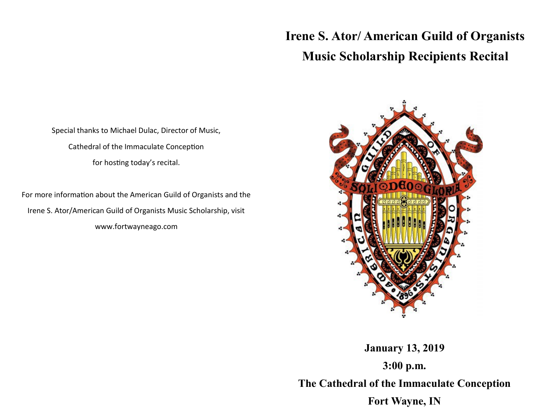# **Irene S. Ator/ American Guild of Organists Music Scholarship Recipients Recital**



**January 13, 2019 3:00 p.m. The Cathedral of the Immaculate Conception Fort Wayne, IN** 

Special thanks to Michael Dulac, Director of Music, Cathedral of the Immaculate Conception for hosting today's recital.

For more information about the American Guild of Organists and the Irene S. Ator/American Guild of Organists Music Scholarship, visit www.fortwayneago.com